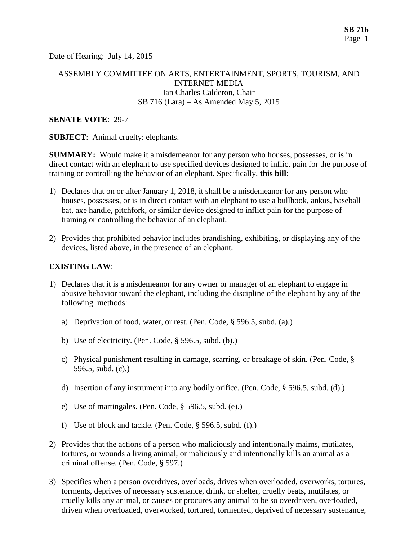Date of Hearing: July 14, 2015

### ASSEMBLY COMMITTEE ON ARTS, ENTERTAINMENT, SPORTS, TOURISM, AND INTERNET MEDIA Ian Charles Calderon, Chair SB 716 (Lara) – As Amended May 5, 2015

#### **SENATE VOTE**: 29-7

**SUBJECT**: Animal cruelty: elephants.

**SUMMARY:** Would make it a misdemeanor for any person who houses, possesses, or is in direct contact with an elephant to use specified devices designed to inflict pain for the purpose of training or controlling the behavior of an elephant. Specifically, **this bill**:

- 1) Declares that on or after January 1, 2018, it shall be a misdemeanor for any person who houses, possesses, or is in direct contact with an elephant to use a bullhook, ankus, baseball bat, axe handle, pitchfork, or similar device designed to inflict pain for the purpose of training or controlling the behavior of an elephant.
- 2) Provides that prohibited behavior includes brandishing, exhibiting, or displaying any of the devices, listed above, in the presence of an elephant.

### **EXISTING LAW**:

- 1) Declares that it is a misdemeanor for any owner or manager of an elephant to engage in abusive behavior toward the elephant, including the discipline of the elephant by any of the following methods:
	- a) Deprivation of food, water, or rest. (Pen. Code, § 596.5, subd. (a).)
	- b) Use of electricity. (Pen. Code, § 596.5, subd. (b).)
	- c) Physical punishment resulting in damage, scarring, or breakage of skin. (Pen. Code, § 596.5, subd. (c).)
	- d) Insertion of any instrument into any bodily orifice. (Pen. Code, § 596.5, subd. (d).)
	- e) Use of martingales. (Pen. Code, § 596.5, subd. (e).)
	- f) Use of block and tackle. (Pen. Code, § 596.5, subd. (f).)
- 2) Provides that the actions of a person who maliciously and intentionally maims, mutilates, tortures, or wounds a living animal, or maliciously and intentionally kills an animal as a criminal offense. (Pen. Code, § 597.)
- 3) Specifies when a person overdrives, overloads, drives when overloaded, overworks, tortures, torments, deprives of necessary sustenance, drink, or shelter, cruelly beats, mutilates, or cruelly kills any animal, or causes or procures any animal to be so overdriven, overloaded, driven when overloaded, overworked, tortured, tormented, deprived of necessary sustenance,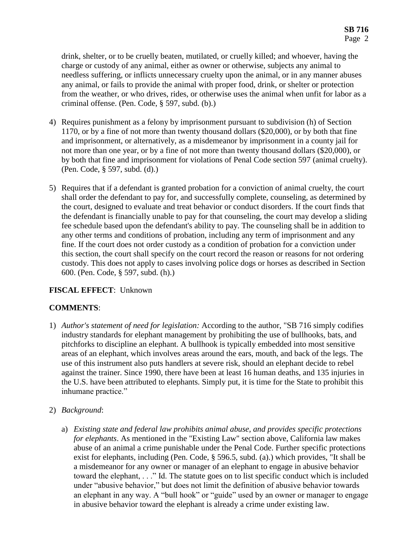drink, shelter, or to be cruelly beaten, mutilated, or cruelly killed; and whoever, having the charge or custody of any animal, either as owner or otherwise, subjects any animal to needless suffering, or inflicts unnecessary cruelty upon the animal, or in any manner abuses any animal, or fails to provide the animal with proper food, drink, or shelter or protection from the weather, or who drives, rides, or otherwise uses the animal when unfit for labor as a criminal offense. (Pen. Code, § 597, subd. (b).)

- 4) Requires punishment as a felony by imprisonment pursuant to subdivision (h) of Section 1170, or by a fine of not more than twenty thousand dollars (\$20,000), or by both that fine and imprisonment, or alternatively, as a misdemeanor by imprisonment in a county jail for not more than one year, or by a fine of not more than twenty thousand dollars (\$20,000), or by both that fine and imprisonment for violations of Penal Code section 597 (animal cruelty). (Pen. Code, § 597, subd. (d).)
- 5) Requires that if a defendant is granted probation for a conviction of animal cruelty, the court shall order the defendant to pay for, and successfully complete, counseling, as determined by the court, designed to evaluate and treat behavior or conduct disorders. If the court finds that the defendant is financially unable to pay for that counseling, the court may develop a sliding fee schedule based upon the defendant's ability to pay. The counseling shall be in addition to any other terms and conditions of probation, including any term of imprisonment and any fine. If the court does not order custody as a condition of probation for a conviction under this section, the court shall specify on the court record the reason or reasons for not ordering custody. This does not apply to cases involving police dogs or horses as described in Section 600. (Pen. Code, § 597, subd. (h).)

# **FISCAL EFFECT**: Unknown

# **COMMENTS**:

- 1) *Author's statement of need for legislation:* According to the author, "SB 716 simply codifies industry standards for elephant management by prohibiting the use of bullhooks, bats, and pitchforks to discipline an elephant. A bullhook is typically embedded into most sensitive areas of an elephant, which involves areas around the ears, mouth, and back of the legs. The use of this instrument also puts handlers at severe risk, should an elephant decide to rebel against the trainer. Since 1990, there have been at least 16 human deaths, and 135 injuries in the U.S. have been attributed to elephants. Simply put, it is time for the State to prohibit this inhumane practice."
- 2) *Background*:
	- a) *Existing state and federal law prohibits animal abuse, and provides specific protections for elephants*. As mentioned in the "Existing Law" section above, California law makes abuse of an animal a crime punishable under the Penal Code. Further specific protections exist for elephants, including (Pen. Code, § 596.5, subd. (a).) which provides, "It shall be a misdemeanor for any owner or manager of an elephant to engage in abusive behavior toward the elephant, . . ." Id. The statute goes on to list specific conduct which is included under "abusive behavior," but does not limit the definition of abusive behavior towards an elephant in any way. A "bull hook" or "guide" used by an owner or manager to engage in abusive behavior toward the elephant is already a crime under existing law.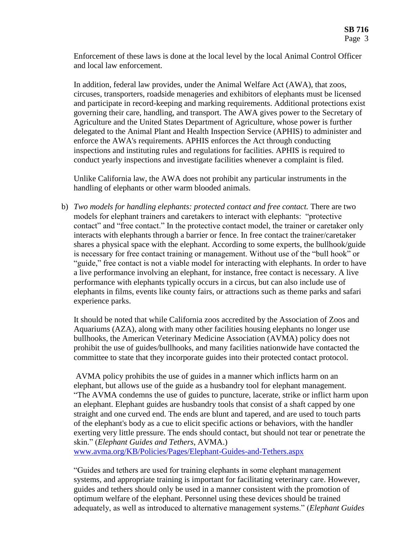Enforcement of these laws is done at the local level by the local Animal Control Officer and local law enforcement.

In addition, federal law provides, under the Animal Welfare Act (AWA), that zoos, circuses, transporters, roadside menageries and exhibitors of elephants must be licensed and participate in record-keeping and marking requirements. Additional protections exist governing their care, handling, and transport. The AWA gives power to the Secretary of Agriculture and the United States Department of Agriculture, whose power is further delegated to the Animal Plant and Health Inspection Service (APHIS) to administer and enforce the AWA's requirements. APHIS enforces the Act through conducting inspections and instituting rules and regulations for facilities. APHIS is required to conduct yearly inspections and investigate facilities whenever a complaint is filed.

Unlike California law, the AWA does not prohibit any particular instruments in the handling of elephants or other warm blooded animals.

b) *Two models for handling elephants: protected contact and free contact.* There are two models for elephant trainers and caretakers to interact with elephants: "protective contact" and "free contact." In the protective contact model, the trainer or caretaker only interacts with elephants through a barrier or fence. In free contact the trainer/caretaker shares a physical space with the elephant. According to some experts, the bullhook/guide is necessary for free contact training or management. Without use of the "bull hook" or "guide," free contact is not a viable model for interacting with elephants. In order to have a live performance involving an elephant, for instance, free contact is necessary. A live performance with elephants typically occurs in a circus, but can also include use of elephants in films, events like county fairs, or attractions such as theme parks and safari experience parks.

It should be noted that while California zoos accredited by the Association of Zoos and Aquariums (AZA), along with many other facilities housing elephants no longer use bullhooks, the American Veterinary Medicine Association (AVMA) policy does not prohibit the use of guides/bullhooks, and many facilities nationwide have contacted the committee to state that they incorporate guides into their protected contact protocol.

AVMA policy prohibits the use of guides in a manner which inflicts harm on an elephant, but allows use of the guide as a husbandry tool for elephant management. "The AVMA condemns the use of guides to puncture, lacerate, strike or inflict harm upon an elephant. Elephant guides are husbandry tools that consist of a shaft capped by one straight and one curved end. The ends are blunt and tapered, and are used to touch parts of the elephant's body as a cue to elicit specific actions or behaviors, with the handler exerting very little pressure. The ends should contact, but should not tear or penetrate the skin." (*Elephant Guides and Tethers*, AVMA.)

[www.avma.org/KB/Policies/Pages/Elephant-Guides-and-Tethers.aspx](http://www.avma.org/KB/Policies/Pages/Elephant-Guides-and-Tethers.aspx)

"Guides and tethers are used for training elephants in some elephant management systems, and appropriate training is important for facilitating veterinary care. However, guides and tethers should only be used in a manner consistent with the promotion of optimum welfare of the elephant. Personnel using these devices should be trained adequately, as well as introduced to alternative management systems." (*Elephant Guides*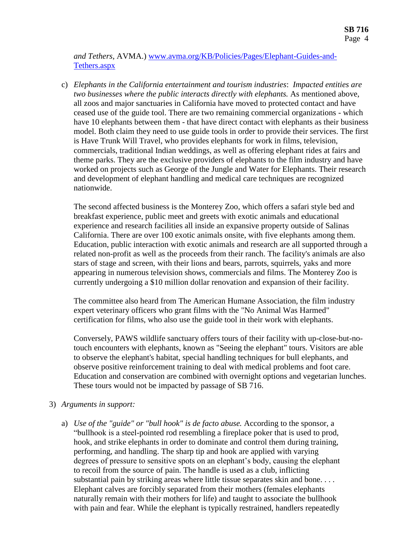*and Tethers*, AVMA.) [www.avma.org/KB/Policies/Pages/Elephant-Guides-and-](http://www.avma.org/KB/Policies/Pages/Elephant-Guides-and-Tethers.aspx)[Tethers.aspx](http://www.avma.org/KB/Policies/Pages/Elephant-Guides-and-Tethers.aspx)

c) *Elephants in the California entertainment and tourism industries*: *Impacted entities are two businesses where the public interacts directly with elephants.* As mentioned above, all zoos and major sanctuaries in California have moved to protected contact and have ceased use of the guide tool. There are two remaining commercial organizations - which have 10 elephants between them - that have direct contact with elephants as their business model. Both claim they need to use guide tools in order to provide their services. The first is Have Trunk Will Travel, who provides elephants for work in films, television, commercials, traditional Indian weddings, as well as offering elephant rides at fairs and theme parks. They are the exclusive providers of elephants to the film industry and have worked on projects such as George of the Jungle and Water for Elephants. Their research and development of elephant handling and medical care techniques are recognized nationwide.

The second affected business is the Monterey Zoo, which offers a safari style bed and breakfast experience, public meet and greets with exotic animals and educational experience and research facilities all inside an expansive property outside of Salinas California. There are over 100 exotic animals onsite, with five elephants among them. Education, public interaction with exotic animals and research are all supported through a related non-profit as well as the proceeds from their ranch. The facility's animals are also stars of stage and screen, with their lions and bears, parrots, squirrels, yaks and more appearing in numerous television shows, commercials and films. The Monterey Zoo is currently undergoing a \$10 million dollar renovation and expansion of their facility.

The committee also heard from The American Humane Association, the film industry expert veterinary officers who grant films with the "No Animal Was Harmed" certification for films, who also use the guide tool in their work with elephants.

Conversely, PAWS wildlife sanctuary offers tours of their facility with up-close-but-notouch encounters with elephants, known as "Seeing the elephant" tours. Visitors are able to observe the elephant's habitat, special handling techniques for bull elephants, and observe positive reinforcement training to deal with medical problems and foot care. Education and conservation are combined with overnight options and vegetarian lunches. These tours would not be impacted by passage of SB 716.

- 3) *Arguments in support:* 
	- a) *Use of the "guide" or "bull hook" is de facto abuse.* According to the sponsor, a "bullhook is a steel-pointed rod resembling a fireplace poker that is used to prod, hook, and strike elephants in order to dominate and control them during training, performing, and handling. The sharp tip and hook are applied with varying degrees of pressure to sensitive spots on an elephant's body, causing the elephant to recoil from the source of pain. The handle is used as a club, inflicting substantial pain by striking areas where little tissue separates skin and bone. . . . Elephant calves are forcibly separated from their mothers (females elephants naturally remain with their mothers for life) and taught to associate the bullhook with pain and fear. While the elephant is typically restrained, handlers repeatedly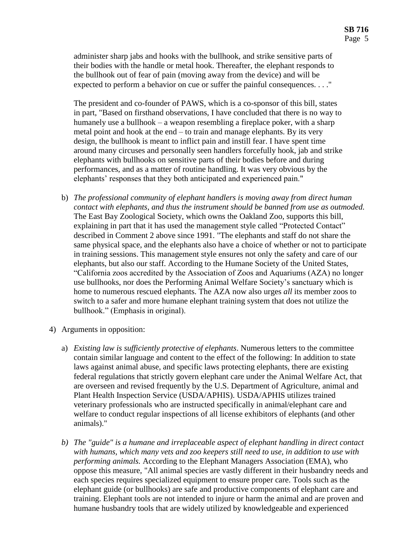administer sharp jabs and hooks with the bullhook, and strike sensitive parts of their bodies with the handle or metal hook. Thereafter, the elephant responds to the bullhook out of fear of pain (moving away from the device) and will be expected to perform a behavior on cue or suffer the painful consequences. . . ."

The president and co-founder of PAWS, which is a co-sponsor of this bill, states in part, "Based on firsthand observations, I have concluded that there is no way to humanely use a bullhook – a weapon resembling a fireplace poker, with a sharp metal point and hook at the end – to train and manage elephants. By its very design, the bullhook is meant to inflict pain and instill fear. I have spent time around many circuses and personally seen handlers forcefully hook, jab and strike elephants with bullhooks on sensitive parts of their bodies before and during performances, and as a matter of routine handling. It was very obvious by the elephants' responses that they both anticipated and experienced pain."

- b) *The professional community of elephant handlers is moving away from direct human contact with elephants, and thus the instrument should be banned from use as outmoded.* The East Bay Zoological Society, which owns the Oakland Zoo, supports this bill, explaining in part that it has used the management style called "Protected Contact" described in Comment 2 above since 1991. "The elephants and staff do not share the same physical space, and the elephants also have a choice of whether or not to participate in training sessions. This management style ensures not only the safety and care of our elephants, but also our staff. According to the Humane Society of the United States, "California zoos accredited by the Association of Zoos and Aquariums (AZA) no longer use bullhooks, nor does the Performing Animal Welfare Society's sanctuary which is home to numerous rescued elephants. The AZA now also urges *all* its member zoos to switch to a safer and more humane elephant training system that does not utilize the bullhook." (Emphasis in original).
- 4) Arguments in opposition:
	- a) *Existing law is sufficiently protective of elephants*. Numerous letters to the committee contain similar language and content to the effect of the following: In addition to state laws against animal abuse, and specific laws protecting elephants, there are existing federal regulations that strictly govern elephant care under the Animal Welfare Act, that are overseen and revised frequently by the U.S. Department of Agriculture, animal and Plant Health Inspection Service (USDA/APHIS). USDA/APHIS utilizes trained veterinary professionals who are instructed specifically in animal/elephant care and welfare to conduct regular inspections of all license exhibitors of elephants (and other animals)."
	- *b) The "guide" is a humane and irreplaceable aspect of elephant handling in direct contact with humans, which many vets and zoo keepers still need to use, in addition to use with performing animals.* According to the Elephant Managers Association (EMA), who oppose this measure, "All animal species are vastly different in their husbandry needs and each species requires specialized equipment to ensure proper care. Tools such as the elephant guide (or bullhooks) are safe and productive components of elephant care and training. Elephant tools are not intended to injure or harm the animal and are proven and humane husbandry tools that are widely utilized by knowledgeable and experienced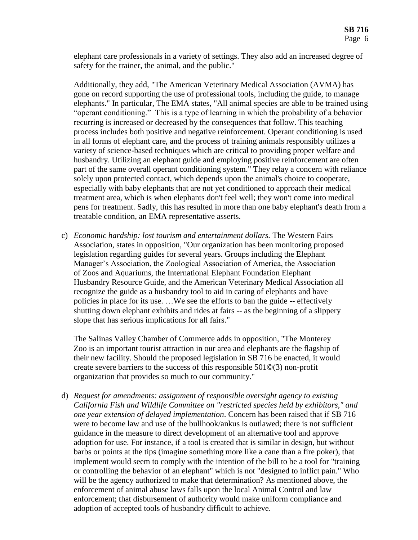elephant care professionals in a variety of settings. They also add an increased degree of safety for the trainer, the animal, and the public."

Additionally, they add, "The American Veterinary Medical Association (AVMA) has gone on record supporting the use of professional tools, including the guide, to manage elephants." In particular, The EMA states, "All animal species are able to be trained using "operant conditioning." This is a type of learning in which the probability of a behavior recurring is increased or decreased by the consequences that follow. This teaching process includes both positive and negative reinforcement. Operant conditioning is used in all forms of elephant care, and the process of training animals responsibly utilizes a variety of science-based techniques which are critical to providing proper welfare and husbandry. Utilizing an elephant guide and employing positive reinforcement are often part of the same overall operant conditioning system." They relay a concern with reliance solely upon protected contact, which depends upon the animal's choice to cooperate, especially with baby elephants that are not yet conditioned to approach their medical treatment area, which is when elephants don't feel well; they won't come into medical pens for treatment. Sadly, this has resulted in more than one baby elephant's death from a treatable condition, an EMA representative asserts.

c) *Economic hardship: lost tourism and entertainment dollars.* The Western Fairs Association, states in opposition, "Our organization has been monitoring proposed legislation regarding guides for several years. Groups including the Elephant Manager's Association, the Zoological Association of America, the Association of Zoos and Aquariums, the International Elephant Foundation Elephant Husbandry Resource Guide, and the American Veterinary Medical Association all recognize the guide as a husbandry tool to aid in caring of elephants and have policies in place for its use. …We see the efforts to ban the guide -- effectively shutting down elephant exhibits and rides at fairs -- as the beginning of a slippery slope that has serious implications for all fairs."

The Salinas Valley Chamber of Commerce adds in opposition, "The Monterey Zoo is an important tourist attraction in our area and elephants are the flagship of their new facility. Should the proposed legislation in SB 716 be enacted, it would create severe barriers to the success of this responsible 501©(3) non-profit organization that provides so much to our community."

d) *Request for amendments: assignment of responsible oversight agency to existing California Fish and Wildlife Committee on "restricted species held by exhibitors," and one year extension of delayed implementation*. Concern has been raised that if SB 716 were to become law and use of the bullhook/ankus is outlawed; there is not sufficient guidance in the measure to direct development of an alternative tool and approve adoption for use. For instance, if a tool is created that is similar in design, but without barbs or points at the tips (imagine something more like a cane than a fire poker), that implement would seem to comply with the intention of the bill to be a tool for "training or controlling the behavior of an elephant" which is not "designed to inflict pain." Who will be the agency authorized to make that determination? As mentioned above, the enforcement of animal abuse laws falls upon the local Animal Control and law enforcement; that disbursement of authority would make uniform compliance and adoption of accepted tools of husbandry difficult to achieve.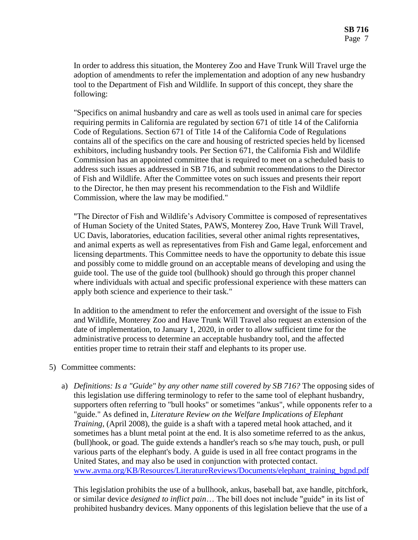In order to address this situation, the Monterey Zoo and Have Trunk Will Travel urge the adoption of amendments to refer the implementation and adoption of any new husbandry tool to the Department of Fish and Wildlife. In support of this concept, they share the following:

"Specifics on animal husbandry and care as well as tools used in animal care for species requiring permits in California are regulated by section 671 of title 14 of the California Code of Regulations. Section 671 of Title 14 of the California Code of Regulations contains all of the specifics on the care and housing of restricted species held by licensed exhibitors, including husbandry tools. Per Section 671, the California Fish and Wildlife Commission has an appointed committee that is required to meet on a scheduled basis to address such issues as addressed in SB 716, and submit recommendations to the Director of Fish and Wildlife. After the Committee votes on such issues and presents their report to the Director, he then may present his recommendation to the Fish and Wildlife Commission, where the law may be modified."

"The Director of Fish and Wildlife's Advisory Committee is composed of representatives of Human Society of the United States, PAWS, Monterey Zoo, Have Trunk Will Travel, UC Davis, laboratories, education facilities, several other animal rights representatives, and animal experts as well as representatives from Fish and Game legal, enforcement and licensing departments. This Committee needs to have the opportunity to debate this issue and possibly come to middle ground on an acceptable means of developing and using the guide tool. The use of the guide tool (bullhook) should go through this proper channel where individuals with actual and specific professional experience with these matters can apply both science and experience to their task."

In addition to the amendment to refer the enforcement and oversight of the issue to Fish and Wildlife, Monterey Zoo and Have Trunk Will Travel also request an extension of the date of implementation, to January 1, 2020, in order to allow sufficient time for the administrative process to determine an acceptable husbandry tool, and the affected entities proper time to retrain their staff and elephants to its proper use.

- 5) Committee comments:
	- a) *Definitions: Is a "Guide" by any other name still covered by SB 716?* The opposing sides of this legislation use differing terminology to refer to the same tool of elephant husbandry, supporters often referring to "bull hooks" or sometimes "ankus", while opponents refer to a "guide." As defined in, *Literature Review on the Welfare Implications of Elephant Training*, (April 2008), the guide is a shaft with a tapered metal hook attached, and it sometimes has a blunt metal point at the end. It is also sometime referred to as the ankus, (bull)hook, or goad. The guide extends a handler's reach so s/he may touch, push, or pull various parts of the elephant's body. A guide is used in all free contact programs in the United States, and may also be used in conjunction with protected contact. [www.avma.org/KB/Resources/LiteratureReviews/Documents/elephant\\_training\\_bgnd.pdf](http://www.avma.org/KB/Resources/LiteratureReviews/Documents/elephant_training_bgnd.pdf)

This legislation prohibits the use of a bullhook, ankus, baseball bat, axe handle, pitchfork, or similar device *designed to inflict pain*… The bill does not include "guide" in its list of prohibited husbandry devices. Many opponents of this legislation believe that the use of a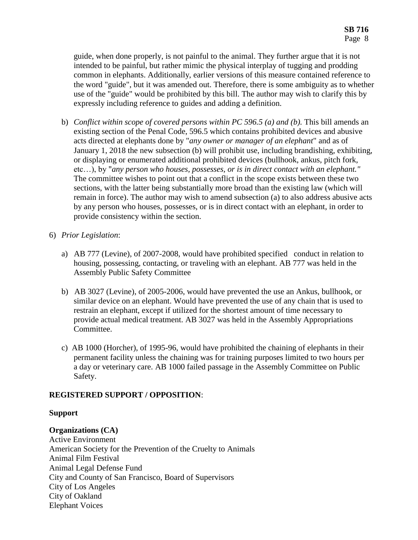guide, when done properly, is not painful to the animal. They further argue that it is not intended to be painful, but rather mimic the physical interplay of tugging and prodding common in elephants. Additionally, earlier versions of this measure contained reference to the word "guide", but it was amended out. Therefore, there is some ambiguity as to whether use of the "guide" would be prohibited by this bill. The author may wish to clarify this by expressly including reference to guides and adding a definition.

- b) *Conflict within scope of covered persons within PC 596.5 (a) and (b).* This bill amends an existing section of the Penal Code, 596.5 which contains prohibited devices and abusive acts directed at elephants done by "*any owner or manager of an elephant*" and as of January 1, 2018 the new subsection (b) will prohibit use, including brandishing, exhibiting, or displaying or enumerated additional prohibited devices (bullhook, ankus, pitch fork, etc…), by "*any person who houses, possesses, or is in direct contact with an elephant."* The committee wishes to point out that a conflict in the scope exists between these two sections, with the latter being substantially more broad than the existing law (which will remain in force). The author may wish to amend subsection (a) to also address abusive acts by any person who houses, possesses, or is in direct contact with an elephant, in order to provide consistency within the section.
- 6) *Prior Legislation*:
	- a) AB 777 (Levine), of 2007-2008, would have prohibited specified conduct in relation to housing, possessing, contacting, or traveling with an elephant. AB 777 was held in the Assembly Public Safety Committee
	- b) AB 3027 (Levine), of 2005-2006, would have prevented the use an Ankus, bullhook, or similar device on an elephant. Would have prevented the use of any chain that is used to restrain an elephant, except if utilized for the shortest amount of time necessary to provide actual medical treatment. AB 3027 was held in the Assembly Appropriations Committee.
	- c) AB 1000 (Horcher), of 1995-96, would have prohibited the chaining of elephants in their permanent facility unless the chaining was for training purposes limited to two hours per a day or veterinary care. AB 1000 failed passage in the Assembly Committee on Public Safety.

# **REGISTERED SUPPORT / OPPOSITION**:

# **Support**

# **Organizations (CA)**

Active Environment American Society for the Prevention of the Cruelty to Animals Animal Film Festival Animal Legal Defense Fund City and County of San Francisco, Board of Supervisors City of Los Angeles City of Oakland Elephant Voices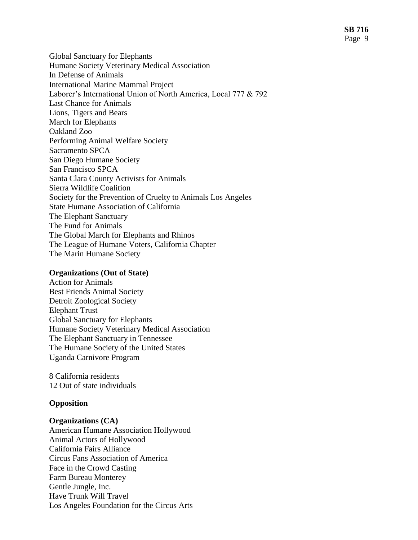Global Sanctuary for Elephants Humane Society Veterinary Medical Association In Defense of Animals International Marine Mammal Project Laborer's International Union of North America, Local 777 & 792 Last Chance for Animals Lions, Tigers and Bears March for Elephants Oakland Zoo Performing Animal Welfare Society Sacramento SPCA San Diego Humane Society San Francisco SPCA Santa Clara County Activists for Animals Sierra Wildlife Coalition Society for the Prevention of Cruelty to Animals Los Angeles State Humane Association of California The Elephant Sanctuary The Fund for Animals The Global March for Elephants and Rhinos The League of Humane Voters, California Chapter The Marin Humane Society

#### **Organizations (Out of State)**

Action for Animals Best Friends Animal Society Detroit Zoological Society Elephant Trust Global Sanctuary for Elephants Humane Society Veterinary Medical Association The Elephant Sanctuary in Tennessee The Humane Society of the United States Uganda Carnivore Program

8 California residents 12 Out of state individuals

#### **Opposition**

#### **Organizations (CA)**

American Humane Association Hollywood Animal Actors of Hollywood California Fairs Alliance Circus Fans Association of America Face in the Crowd Casting Farm Bureau Monterey Gentle Jungle, Inc. Have Trunk Will Travel Los Angeles Foundation for the Circus Arts